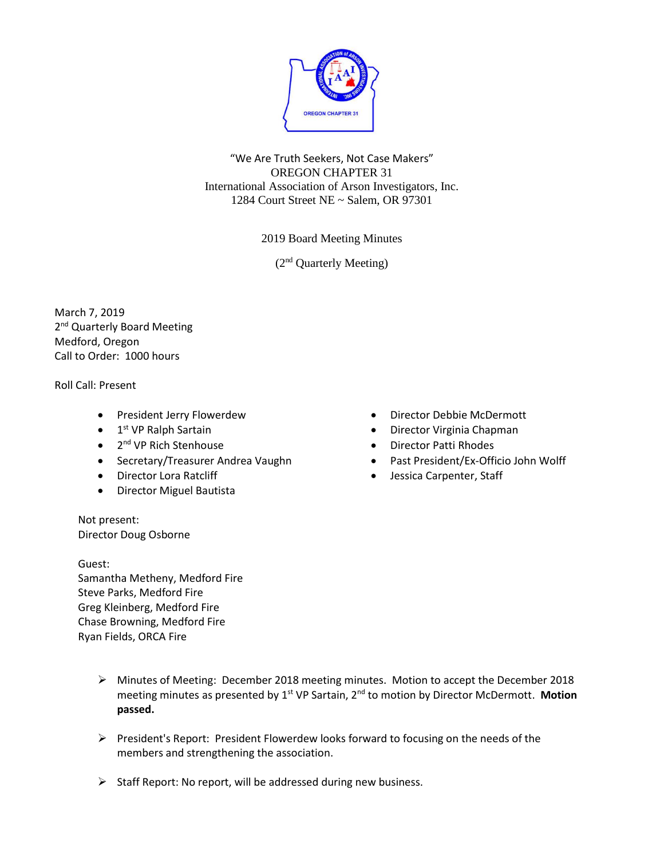

"We Are Truth Seekers, Not Case Makers" OREGON CHAPTER 31 International Association of Arson Investigators, Inc. 1284 Court Street NE ~ Salem, OR 97301

2019 Board Meeting Minutes

(2<sup>nd</sup> Quarterly Meeting)

March 7, 2019 2<sup>nd</sup> Quarterly Board Meeting Medford, Oregon Call to Order: 1000 hours

Roll Call: Present

- President Jerry Flowerdew
- 1<sup>st</sup> VP Ralph Sartain
- 2<sup>nd</sup> VP Rich Stenhouse
- Secretary/Treasurer Andrea Vaughn
- Director Lora Ratcliff
- Director Miguel Bautista
- Director Debbie McDermott
- Director Virginia Chapman
- Director Patti Rhodes
- Past President/Ex-Officio John Wolff
- Jessica Carpenter, Staff

Not present: Director Doug Osborne

Guest: Samantha Metheny, Medford Fire Steve Parks, Medford Fire Greg Kleinberg, Medford Fire Chase Browning, Medford Fire Ryan Fields, ORCA Fire

- ➢ Minutes of Meeting: December 2018 meeting minutes. Motion to accept the December 2018 meeting minutes as presented by 1<sup>st</sup> VP Sartain, 2<sup>nd</sup> to motion by Director McDermott. Motion **passed.**
- ➢ President's Report: President Flowerdew looks forward to focusing on the needs of the members and strengthening the association.
- ➢ Staff Report: No report, will be addressed during new business.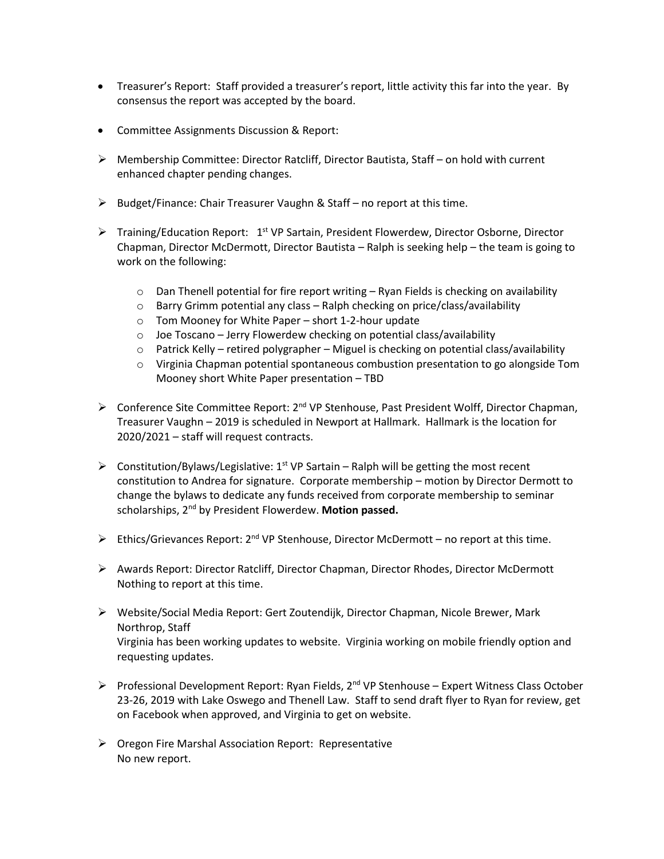- Treasurer's Report: Staff provided a treasurer's report, little activity this far into the year. By consensus the report was accepted by the board.
- Committee Assignments Discussion & Report:
- ➢ Membership Committee: Director Ratcliff, Director Bautista, Staff on hold with current enhanced chapter pending changes.
- ➢ Budget/Finance: Chair Treasurer Vaughn & Staff no report at this time.
- ▶ Training/Education Report: 1<sup>st</sup> VP Sartain, President Flowerdew, Director Osborne, Director Chapman, Director McDermott, Director Bautista – Ralph is seeking help – the team is going to work on the following:
	- $\circ$  Dan Thenell potential for fire report writing  $-$  Ryan Fields is checking on availability
	- $\circ$  Barry Grimm potential any class Ralph checking on price/class/availability
	- o Tom Mooney for White Paper short 1-2-hour update
	- o Joe Toscano Jerry Flowerdew checking on potential class/availability
	- $\circ$  Patrick Kelly retired polygrapher Miguel is checking on potential class/availability
	- o Virginia Chapman potential spontaneous combustion presentation to go alongside Tom Mooney short White Paper presentation – TBD
- > Conference Site Committee Report: 2<sup>nd</sup> VP Stenhouse, Past President Wolff, Director Chapman, Treasurer Vaughn – 2019 is scheduled in Newport at Hallmark. Hallmark is the location for 2020/2021 – staff will request contracts.
- $\triangleright$  Constitution/Bylaws/Legislative: 1<sup>st</sup> VP Sartain Ralph will be getting the most recent constitution to Andrea for signature. Corporate membership – motion by Director Dermott to change the bylaws to dedicate any funds received from corporate membership to seminar scholarships, 2nd by President Flowerdew. **Motion passed.**
- $\triangleright$  Ethics/Grievances Report: 2<sup>nd</sup> VP Stenhouse, Director McDermott no report at this time.
- ➢ Awards Report: Director Ratcliff, Director Chapman, Director Rhodes, Director McDermott Nothing to report at this time.
- ➢ Website/Social Media Report: Gert Zoutendijk, Director Chapman, Nicole Brewer, Mark Northrop, Staff Virginia has been working updates to website. Virginia working on mobile friendly option and requesting updates.
- ➢ Professional Development Report: Ryan Fields, 2nd VP Stenhouse Expert Witness Class October 23-26, 2019 with Lake Oswego and Thenell Law. Staff to send draft flyer to Ryan for review, get on Facebook when approved, and Virginia to get on website.
- ➢ Oregon Fire Marshal Association Report: Representative No new report.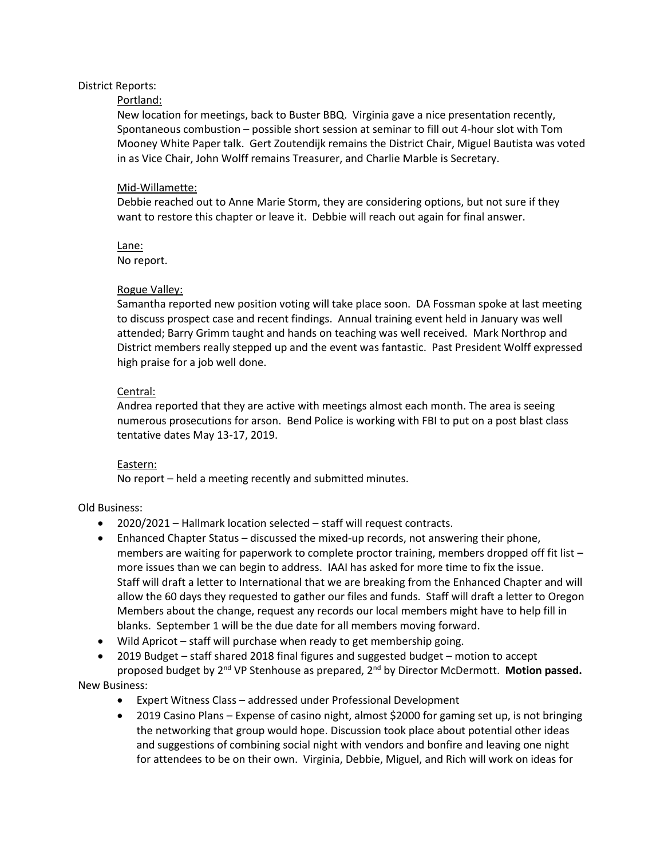## District Reports:

### Portland:

New location for meetings, back to Buster BBQ. Virginia gave a nice presentation recently, Spontaneous combustion – possible short session at seminar to fill out 4-hour slot with Tom Mooney White Paper talk. Gert Zoutendijk remains the District Chair, Miguel Bautista was voted in as Vice Chair, John Wolff remains Treasurer, and Charlie Marble is Secretary.

#### Mid-Willamette:

Debbie reached out to Anne Marie Storm, they are considering options, but not sure if they want to restore this chapter or leave it. Debbie will reach out again for final answer.

Lane: No report.

#### Rogue Valley:

Samantha reported new position voting will take place soon. DA Fossman spoke at last meeting to discuss prospect case and recent findings. Annual training event held in January was well attended; Barry Grimm taught and hands on teaching was well received. Mark Northrop and District members really stepped up and the event was fantastic. Past President Wolff expressed high praise for a job well done.

## Central:

Andrea reported that they are active with meetings almost each month. The area is seeing numerous prosecutions for arson. Bend Police is working with FBI to put on a post blast class tentative dates May 13-17, 2019.

#### Eastern:

No report – held a meeting recently and submitted minutes.

## Old Business:

- 2020/2021 Hallmark location selected staff will request contracts.
- Enhanced Chapter Status discussed the mixed-up records, not answering their phone, members are waiting for paperwork to complete proctor training, members dropped off fit list – more issues than we can begin to address. IAAI has asked for more time to fix the issue. Staff will draft a letter to International that we are breaking from the Enhanced Chapter and will allow the 60 days they requested to gather our files and funds. Staff will draft a letter to Oregon Members about the change, request any records our local members might have to help fill in blanks. September 1 will be the due date for all members moving forward.
- Wild Apricot staff will purchase when ready to get membership going.
- 2019 Budget staff shared 2018 final figures and suggested budget motion to accept proposed budget by 2<sup>nd</sup> VP Stenhouse as prepared, 2<sup>nd</sup> by Director McDermott. Motion passed.

# New Business:

- Expert Witness Class addressed under Professional Development
- 2019 Casino Plans Expense of casino night, almost \$2000 for gaming set up, is not bringing the networking that group would hope. Discussion took place about potential other ideas and suggestions of combining social night with vendors and bonfire and leaving one night for attendees to be on their own. Virginia, Debbie, Miguel, and Rich will work on ideas for